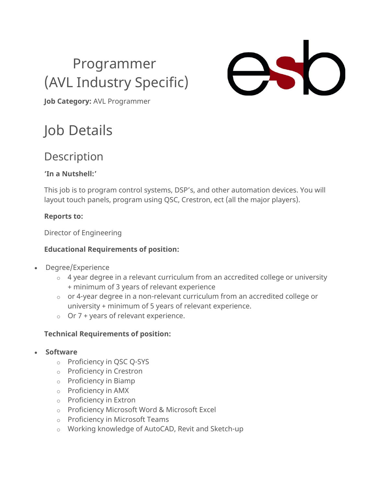## Programmer (AVL Industry Specific)



**Job Category:** AVL Programmer

## Job Details

### Description

#### **'In a Nutshell:'**

This job is to program control systems, DSP's, and other automation devices. You will layout touch panels, program using QSC, Crestron, ect (all the major players).

#### **Reports to:**

Director of Engineering

#### **Educational Requirements of position:**

- Degree/Experience
	- $\circ$  4 year degree in a relevant curriculum from an accredited college or university + minimum of 3 years of relevant experience
	- o or 4-year degree in a non-relevant curriculum from an accredited college or university + minimum of 5 years of relevant experience.
	- $\circ$  Or 7 + years of relevant experience.

#### **Technical Requirements of position:**

- **Software**
	- o Proficiency in QSC Q-SYS
	- o Proficiency in Crestron
	- o Proficiency in Biamp
	- o Proficiency in AMX
	- o Proficiency in Extron
	- o Proficiency Microsoft Word & Microsoft Excel
	- o Proficiency in Microsoft Teams
	- o Working knowledge of AutoCAD, Revit and Sketch-up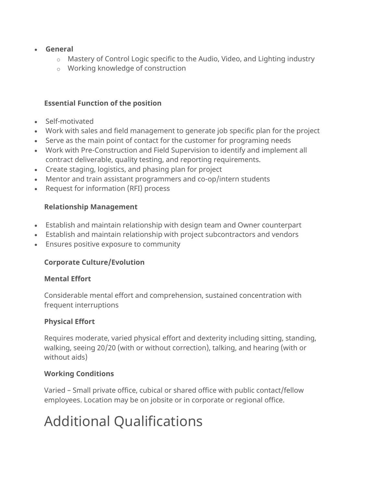- **General**
	- o Mastery of Control Logic specific to the Audio, Video, and Lighting industry
	- o Working knowledge of construction

#### **Essential Function of the position**

- Self-motivated
- Work with sales and field management to generate job specific plan for the project
- Serve as the main point of contact for the customer for programing needs
- Work with Pre-Construction and Field Supervision to identify and implement all contract deliverable, quality testing, and reporting requirements.
- Create staging, logistics, and phasing plan for project
- Mentor and train assistant programmers and co-op/intern students
- Request for information (RFI) process

#### **Relationship Management**

- Establish and maintain relationship with design team and Owner counterpart
- Establish and maintain relationship with project subcontractors and vendors
- Ensures positive exposure to community

#### **Corporate Culture/Evolution**

#### **Mental Effort**

Considerable mental effort and comprehension, sustained concentration with frequent interruptions

#### **Physical Effort**

Requires moderate, varied physical effort and dexterity including sitting, standing, walking, seeing 20/20 (with or without correction), talking, and hearing (with or without aids)

#### **Working Conditions**

Varied – Small private office, cubical or shared office with public contact/fellow employees. Location may be on jobsite or in corporate or regional office.

### Additional Qualifications